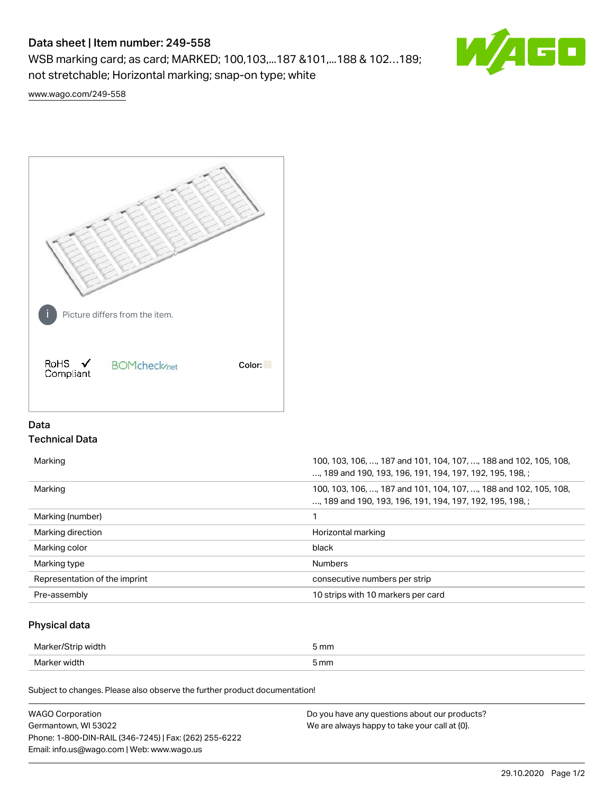# Data sheet | Item number: 249-558

WSB marking card; as card; MARKED; 100,103,...187 &101,...188 & 102…189; not stretchable; Horizontal marking; snap-on type; white



[www.wago.com/249-558](http://www.wago.com/249-558)



# Data Technical Data

| Marking                       | 100, 103, 106, , 187 and 101, 104, 107, , 188 and 102, 105, 108,<br>, 189 and 190, 193, 196, 191, 194, 197, 192, 195, 198, ; |
|-------------------------------|------------------------------------------------------------------------------------------------------------------------------|
| Marking                       | 100, 103, 106, , 187 and 101, 104, 107, , 188 and 102, 105, 108,<br>, 189 and 190, 193, 196, 191, 194, 197, 192, 195, 198, : |
| Marking (number)              |                                                                                                                              |
| Marking direction             | Horizontal marking                                                                                                           |
| Marking color                 | black                                                                                                                        |
| Marking type                  | <b>Numbers</b>                                                                                                               |
| Representation of the imprint | consecutive numbers per strip                                                                                                |
| Pre-assembly                  | 10 strips with 10 markers per card                                                                                           |

## Physical data

| Marker/St<br>, width | 5 mm |
|----------------------|------|
| Marker width         | 5 mm |

Subject to changes. Please also observe the further product documentation!

| <b>WAGO Corporation</b>                                | Do you have any questions about our products? |
|--------------------------------------------------------|-----------------------------------------------|
| Germantown, WI 53022                                   | We are always happy to take your call at {0}. |
| Phone: 1-800-DIN-RAIL (346-7245)   Fax: (262) 255-6222 |                                               |
| Email: info.us@wago.com   Web: www.wago.us             |                                               |